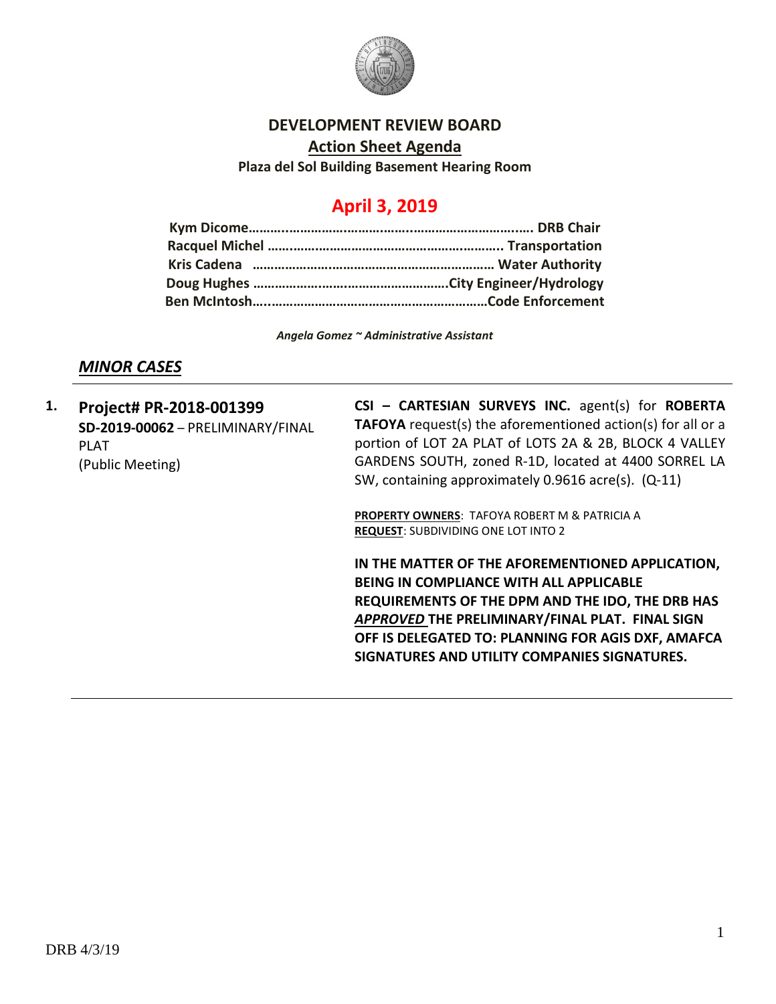

#### **DEVELOPMENT REVIEW BOARD**

**Action Sheet Agenda**

**Plaza del Sol Building Basement Hearing Room**

# **April 3, 2019**

*Angela Gomez ~ Administrative Assistant*

### *MINOR CASES*

**1. Project# PR-2018-001399 SD-2019-00062** – PRELIMINARY/FINAL PLAT (Public Meeting)

**CSI – CARTESIAN SURVEYS INC.** agent(s) for **ROBERTA TAFOYA** request(s) the aforementioned action(s) for all or a portion of LOT 2A PLAT of LOTS 2A & 2B, BLOCK 4 VALLEY GARDENS SOUTH, zoned R-1D, located at 4400 SORREL LA SW, containing approximately 0.9616 acre(s). (Q-11)

**PROPERTY OWNERS**: TAFOYA ROBERT M & PATRICIA A **REQUEST**: SUBDIVIDING ONE LOT INTO 2

**IN THE MATTER OF THE AFOREMENTIONED APPLICATION, BEING IN COMPLIANCE WITH ALL APPLICABLE REQUIREMENTS OF THE DPM AND THE IDO, THE DRB HAS**  *APPROVED* **THE PRELIMINARY/FINAL PLAT. FINAL SIGN OFF IS DELEGATED TO: PLANNING FOR AGIS DXF, AMAFCA SIGNATURES AND UTILITY COMPANIES SIGNATURES.**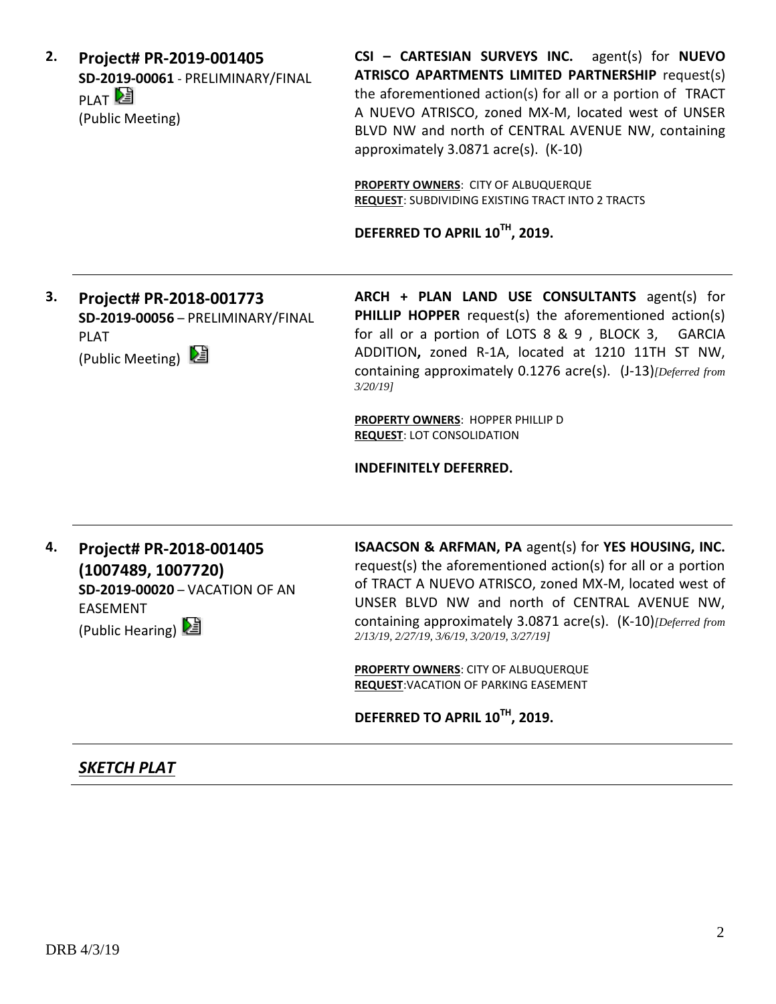**2. Project# PR-2019-001405 SD-2019-00061** - PRELIMINARY/FINAL PLAT<sup>D</sup> (Public Meeting)

**CSI – CARTESIAN SURVEYS INC.** agent(s) for **NUEVO ATRISCO APARTMENTS LIMITED PARTNERSHIP** request(s) the aforementioned action(s) for all or a portion of TRACT A NUEVO ATRISCO, zoned MX-M, located west of UNSER BLVD NW and north of CENTRAL AVENUE NW, containing approximately 3.0871 acre(s). (K-10)

**PROPERTY OWNERS**: CITY OF ALBUQUERQUE **REQUEST**: SUBDIVIDING EXISTING TRACT INTO 2 TRACTS

**DEFERRED TO APRIL 10TH, 2019.**

**3. Project# PR-2018-001773 SD-2019-00056** – PRELIMINARY/FINAL PLAT (Public Meeting)

**ARCH + PLAN LAND USE CONSULTANTS** agent(s) for **PHILLIP HOPPER** request(s) the aforementioned action(s) for all or a portion of LOTS 8 & 9 , BLOCK 3, GARCIA ADDITION**,** zoned R-1A, located at 1210 11TH ST NW, containing approximately 0.1276 acre(s). (J-13)*[Deferred from 3/20/19]*

**PROPERTY OWNERS**: HOPPER PHILLIP D **REQUEST**: LOT CONSOLIDATION

**INDEFINITELY DEFERRED.**

**4. Project# PR-2018-001405 (1007489, 1007720) SD-2019-00020** – VACATION OF AN EASEMENT (Public Hearing)

**ISAACSON & ARFMAN, PA** agent(s) for **YES HOUSING, INC.** request(s) the aforementioned action(s) for all or a portion of TRACT A NUEVO ATRISCO, zoned MX-M, located west of UNSER BLVD NW and north of CENTRAL AVENUE NW, containing approximately 3.0871 acre(s). (K-10)*[Deferred from 2/13/19, 2/27/19, 3/6/19, 3/20/19, 3/27/19]*

**PROPERTY OWNERS**: CITY OF ALBUQUERQUE **REQUEST**:VACATION OF PARKING EASEMENT

**DEFERRED TO APRIL 10TH, 2019.**

## *SKETCH PLAT*